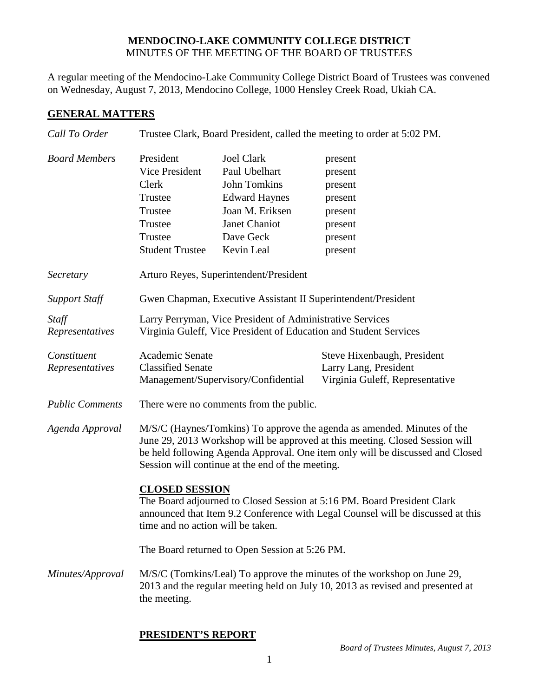## **MENDOCINO-LAKE COMMUNITY COLLEGE DISTRICT** MINUTES OF THE MEETING OF THE BOARD OF TRUSTEES

A regular meeting of the Mendocino-Lake Community College District Board of Trustees was convened on Wednesday, August 7, 2013, Mendocino College, 1000 Hensley Creek Road, Ukiah CA.

## **GENERAL MATTERS**

| Call To Order                  | Trustee Clark, Board President, called the meeting to order at 5:02 PM.                                                                                                                                                                                                                      |                      |                                                                                         |  |
|--------------------------------|----------------------------------------------------------------------------------------------------------------------------------------------------------------------------------------------------------------------------------------------------------------------------------------------|----------------------|-----------------------------------------------------------------------------------------|--|
| <b>Board Members</b>           | President                                                                                                                                                                                                                                                                                    | <b>Joel Clark</b>    | present                                                                                 |  |
|                                | Vice President                                                                                                                                                                                                                                                                               | Paul Ubelhart        | present                                                                                 |  |
|                                | Clerk                                                                                                                                                                                                                                                                                        | <b>John Tomkins</b>  | present                                                                                 |  |
|                                | Trustee                                                                                                                                                                                                                                                                                      | <b>Edward Haynes</b> | present                                                                                 |  |
|                                | Trustee                                                                                                                                                                                                                                                                                      | Joan M. Eriksen      | present                                                                                 |  |
|                                | Trustee                                                                                                                                                                                                                                                                                      | Janet Chaniot        | present                                                                                 |  |
|                                | Trustee                                                                                                                                                                                                                                                                                      | Dave Geck            | present                                                                                 |  |
|                                | <b>Student Trustee</b>                                                                                                                                                                                                                                                                       | Kevin Leal           | present                                                                                 |  |
| Secretary                      | Arturo Reyes, Superintendent/President                                                                                                                                                                                                                                                       |                      |                                                                                         |  |
| <b>Support Staff</b>           | Gwen Chapman, Executive Assistant II Superintendent/President                                                                                                                                                                                                                                |                      |                                                                                         |  |
| Staff                          | Larry Perryman, Vice President of Administrative Services                                                                                                                                                                                                                                    |                      |                                                                                         |  |
| Representatives                | Virginia Guleff, Vice President of Education and Student Services                                                                                                                                                                                                                            |                      |                                                                                         |  |
| Constituent<br>Representatives | Academic Senate<br><b>Classified Senate</b><br>Management/Supervisory/Confidential                                                                                                                                                                                                           |                      | Steve Hixenbaugh, President<br>Larry Lang, President<br>Virginia Guleff, Representative |  |
| <b>Public Comments</b>         | There were no comments from the public.                                                                                                                                                                                                                                                      |                      |                                                                                         |  |
| Agenda Approval                | M/S/C (Haynes/Tomkins) To approve the agenda as amended. Minutes of the<br>June 29, 2013 Workshop will be approved at this meeting. Closed Session will<br>be held following Agenda Approval. One item only will be discussed and Closed<br>Session will continue at the end of the meeting. |                      |                                                                                         |  |
|                                | <b>CLOSED SESSION</b><br>The Board adjourned to Closed Session at 5:16 PM. Board President Clark<br>announced that Item 9.2 Conference with Legal Counsel will be discussed at this<br>time and no action will be taken.                                                                     |                      |                                                                                         |  |
|                                | The Board returned to Open Session at 5:26 PM.                                                                                                                                                                                                                                               |                      |                                                                                         |  |
| Minutes/Approval               | M/S/C (Tomkins/Leal) To approve the minutes of the workshop on June 29,<br>2013 and the regular meeting held on July 10, 2013 as revised and presented at<br>the meeting.                                                                                                                    |                      |                                                                                         |  |

## **PRESIDENT'S REPORT**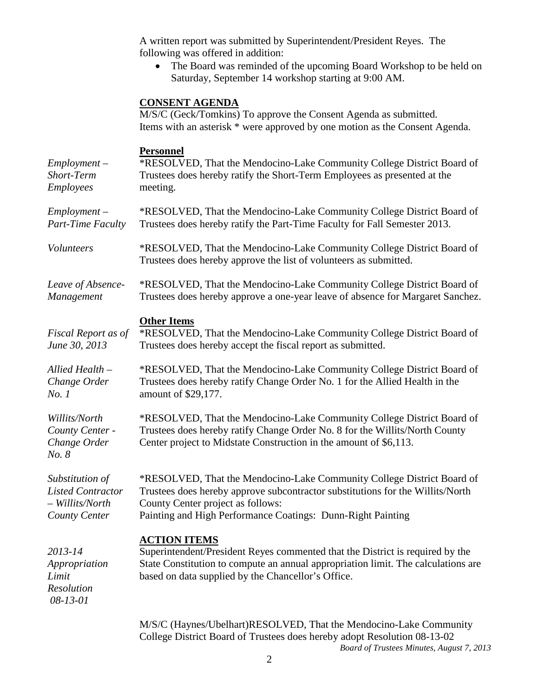A written report was submitted by Superintendent/President Reyes. The following was offered in addition:

• The Board was reminded of the upcoming Board Workshop to be held on Saturday, September 14 workshop starting at 9:00 AM.

# **CONSENT AGENDA**

|                                                                                 | M/S/C (Geck/Tomkins) To approve the Consent Agenda as submitted.<br>Items with an asterisk * were approved by one motion as the Consent Agenda.                                                                                                              |  |
|---------------------------------------------------------------------------------|--------------------------------------------------------------------------------------------------------------------------------------------------------------------------------------------------------------------------------------------------------------|--|
| $Employment -$<br>Short-Term<br>Employees                                       | <b>Personnel</b><br>*RESOLVED, That the Mendocino-Lake Community College District Board of<br>Trustees does hereby ratify the Short-Term Employees as presented at the<br>meeting.                                                                           |  |
| $Employment -$<br>Part-Time Faculty                                             | *RESOLVED, That the Mendocino-Lake Community College District Board of<br>Trustees does hereby ratify the Part-Time Faculty for Fall Semester 2013.                                                                                                          |  |
| <b>Volunteers</b>                                                               | *RESOLVED, That the Mendocino-Lake Community College District Board of<br>Trustees does hereby approve the list of volunteers as submitted.                                                                                                                  |  |
| Leave of Absence-<br>Management                                                 | *RESOLVED, That the Mendocino-Lake Community College District Board of<br>Trustees does hereby approve a one-year leave of absence for Margaret Sanchez.                                                                                                     |  |
| Fiscal Report as of<br>June 30, 2013                                            | <b>Other Items</b><br>*RESOLVED, That the Mendocino-Lake Community College District Board of<br>Trustees does hereby accept the fiscal report as submitted.                                                                                                  |  |
| Allied Health -<br>Change Order<br>No.1                                         | *RESOLVED, That the Mendocino-Lake Community College District Board of<br>Trustees does hereby ratify Change Order No. 1 for the Allied Health in the<br>amount of \$29,177.                                                                                 |  |
| Willits/North<br>County Center -<br>Change Order<br>No. 8                       | *RESOLVED, That the Mendocino-Lake Community College District Board of<br>Trustees does hereby ratify Change Order No. 8 for the Willits/North County<br>Center project to Midstate Construction in the amount of \$6,113.                                   |  |
| Substitution of<br><b>Listed Contractor</b><br>- Willits/North<br>County Center | *RESOLVED, That the Mendocino-Lake Community College District Board of<br>Trustees does hereby approve subcontractor substitutions for the Willits/North<br>County Center project as follows:<br>Painting and High Performance Coatings: Dunn-Right Painting |  |
| 2013-14<br>Appropriation<br>Limit<br>Resolution<br>$08 - 13 - 01$               | <b>ACTION ITEMS</b><br>Superintendent/President Reyes commented that the District is required by the<br>State Constitution to compute an annual appropriation limit. The calculations are<br>based on data supplied by the Chancellor's Office.              |  |
|                                                                                 | M/S/C (Haynes/Ubelhart)RESOLVED, That the Mendocino-Lake Community<br>College District Board of Trustees does hereby adopt Resolution 08-13-02                                                                                                               |  |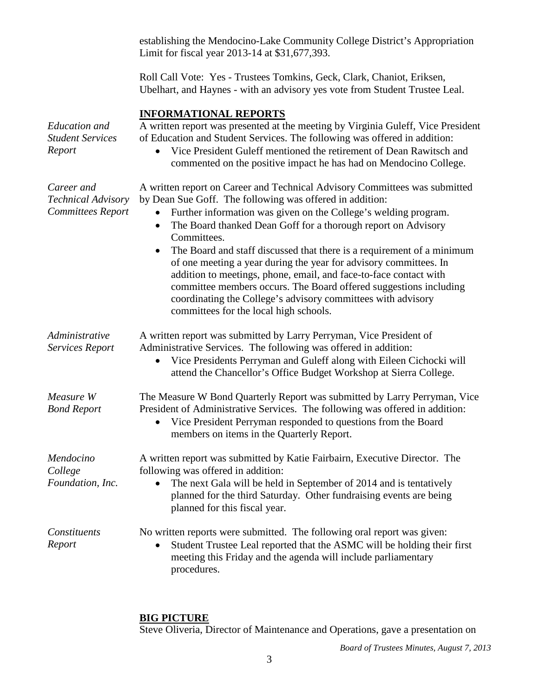establishing the Mendocino-Lake Community College District's Appropriation Limit for fiscal year 2013-14 at \$31,677,393. Roll Call Vote: Yes - Trustees Tomkins, Geck, Clark, Chaniot, Eriksen, Ubelhart, and Haynes - with an advisory yes vote from Student Trustee Leal. **INFORMATIONAL REPORTS**  *Education and Student Services Report* A written report was presented at the meeting by Virginia Guleff, Vice President of Education and Student Services. The following was offered in addition: • Vice President Guleff mentioned the retirement of Dean Rawitsch and commented on the positive impact he has had on Mendocino College. *Career and Technical Advisory Committees Report* A written report on Career and Technical Advisory Committees was submitted by Dean Sue Goff. The following was offered in addition: • Further information was given on the College's welding program. • The Board thanked Dean Goff for a thorough report on Advisory Committees. • The Board and staff discussed that there is a requirement of a minimum of one meeting a year during the year for advisory committees. In addition to meetings, phone, email, and face-to-face contact with committee members occurs. The Board offered suggestions including coordinating the College's advisory committees with advisory committees for the local high schools. *Administrative Services Report* A written report was submitted by Larry Perryman, Vice President of Administrative Services. The following was offered in addition: • Vice Presidents Perryman and Guleff along with Eileen Cichocki will attend the Chancellor's Office Budget Workshop at Sierra College. *Measure W Bond Report* The Measure W Bond Quarterly Report was submitted by Larry Perryman, Vice President of Administrative Services. The following was offered in addition: • Vice President Perryman responded to questions from the Board members on items in the Quarterly Report. *Mendocino College Foundation, Inc.*  A written report was submitted by Katie Fairbairn, Executive Director. The following was offered in addition: • The next Gala will be held in September of 2014 and is tentatively planned for the third Saturday. Other fundraising events are being planned for this fiscal year. *Constituents Report* No written reports were submitted. The following oral report was given: • Student Trustee Leal reported that the ASMC will be holding their first meeting this Friday and the agenda will include parliamentary procedures.

### **BIG PICTURE**

Steve Oliveria, Director of Maintenance and Operations, gave a presentation on